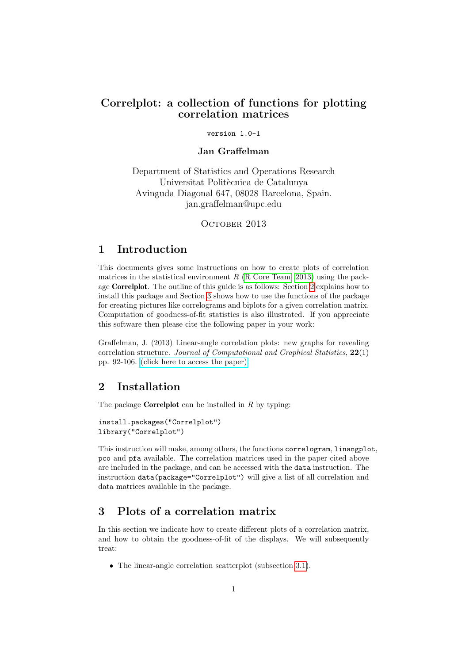## Correlplot: a collection of functions for plotting correlation matrices

#### version 1.0-1

### Jan Graffelman

Department of Statistics and Operations Research Universitat Politècnica de Catalunya Avinguda Diagonal 647, 08028 Barcelona, Spain. jan.graffelman@upc.edu

OCTOBER 2013

## 1 Introduction

This documents gives some instructions on how to create plots of correlation matrices in the statistical environment  $R$  [\(R Core Team, 2013\)](#page-9-0) using the package Correlplot. The outline of this guide is as follows: Section [2](#page-0-0) explains how to install this package and Section [3](#page-0-1) shows how to use the functions of the package for creating pictures like correlograms and biplots for a given correlation matrix. Computation of goodness-of-fit statistics is also illustrated. If you appreciate this software then please cite the following paper in your work:

Graffelman, J. (2013) Linear-angle correlation plots: new graphs for revealing correlation structure. Journal of Computational and Graphical Statistics, 22(1) pp. 92-106. [\(click here to access the paper\).](http://dx.doi.org/10.1080/15533174.2012.707850 )

# <span id="page-0-0"></span>2 Installation

The package **Correlplot** can be installed in  $R$  by typing:

```
install.packages("Correlplot")
library("Correlplot")
```
This instruction will make, among others, the functions correlogram, linangplot, pco and pfa available. The correlation matrices used in the paper cited above are included in the package, and can be accessed with the data instruction. The instruction data(package="Correlplot") will give a list of all correlation and data matrices available in the package.

## <span id="page-0-1"></span>3 Plots of a correlation matrix

In this section we indicate how to create different plots of a correlation matrix, and how to obtain the goodness-of-fit of the displays. We will subsequently treat:

The linear-angle correlation scatterplot (subsection [3.1\)](#page-1-0).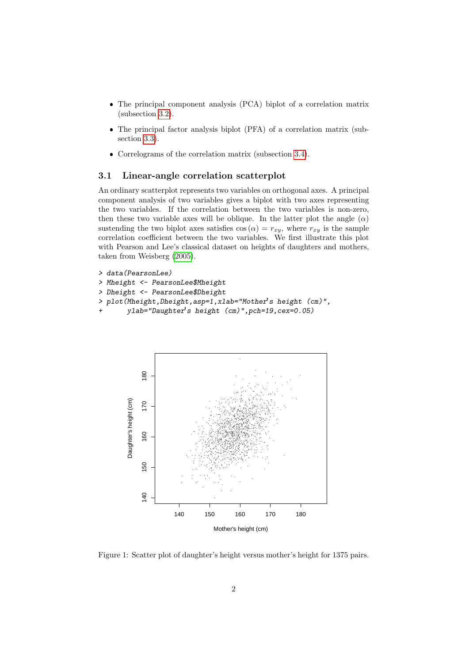- The principal component analysis (PCA) biplot of a correlation matrix (subsection [3.2\)](#page-3-0).
- The principal factor analysis biplot (PFA) of a correlation matrix (subsection [3.3\)](#page-5-0).
- Correlograms of the correlation matrix (subsection [3.4\)](#page-7-0).

#### <span id="page-1-0"></span>3.1 Linear-angle correlation scatterplot

An ordinary scatterplot represents two variables on orthogonal axes. A principal component analysis of two variables gives a biplot with two axes representing the two variables. If the correlation between the two variables is non-zero, then these two variable axes will be oblique. In the latter plot the angle  $(\alpha)$ sustending the two biplot axes satisfies  $\cos(\alpha) = r_{xy}$ , where  $r_{xy}$  is the sample correlation coefficient between the two variables. We first illustrate this plot with Pearson and Lee's classical dataset on heights of daughters and mothers, taken from Weisberg [\(2005\)](#page-9-1).

```
> data(PearsonLee)
> Mheight <- PearsonLee$Mheight
> Dheight <- PearsonLee$Dheight
> plot(Mheight,Dheight,asp=1,xlab="Mother's height (cm)",
       ylab="Daughter's height (cm)", pch=19, cex=0.05)
```


<span id="page-1-1"></span>Figure 1: Scatter plot of daughter's height versus mother's height for 1375 pairs.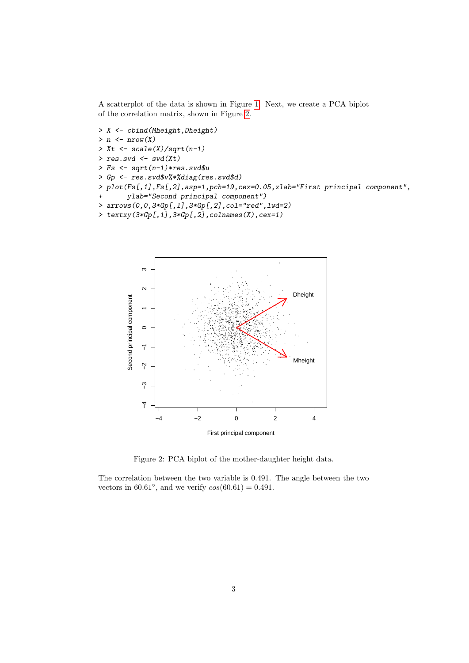A scatterplot of the data is shown in Figure 1. Next, we create a PCA biplot of the correlation matrix, shown in Figure 2.

```
> X \leftarrow \text{cbind}(\text{Mheight}, \text{Dheight})> n \leftarrow nrow(X)> Xt <- scale(X)/sqrt(n-1)res.svd \leftarrow svd(Xt)\, >\, >Fs \leftarrow sqrt(n-1)*res.svd\> Gp \leftarrow res.svd\v'/*/diag(res.svd$d)
    plot(Fs[,1],Fs[,2],asp=1,pch=19,cex=0.05,xlab="First principal component",
\mathbf{r}ylab="Second principal component")
\overline{1}> arrows (0, 0, 3*Gp[, 1], 3*Gp[, 2], col="red", 1wd=2)> text{text}(\mathcal{X}, \mathcal{X}) = \text{text}(\mathcal{X}, \mathcal{X}) = \text{text}(\mathcal{X}, \mathcal{X}) + \text{text}(\mathcal{X}, \mathcal{X}) + \text{text}(\mathcal{X}, \mathcal{X}) + \text{text}(\mathcal{X}, \mathcal{X}) + \text{text}(\mathcal{X}, \mathcal{X}) + \text{text}(\mathcal{X}, \mathcal{X}) + \text{text}(\mathcal{X}, \mathcal{X}) + \text{text}(\mathcal{X}, \mathcal{X}) + \text{text}(\mathcal{X}, \mathcal{X}) + \text{text}(\mathcal{X}, \mathcal{X}) + \text{
```


<span id="page-2-0"></span>Figure 2: PCA biplot of the mother-daughter height data.

The correlation between the two variable is 0.491. The angle between the two vectors in 60.61°, and we verify  $cos(60.61) = 0.491$ .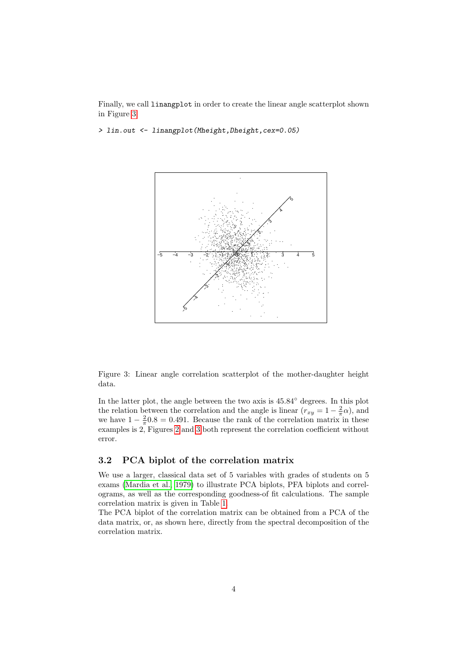Finally, we call linangplot in order to create the linear angle scatterplot shown in Figure [3](#page-3-1)

> lin.out <- linangplot(Mheight,Dheight,cex=0.05)



<span id="page-3-1"></span>Figure 3: Linear angle correlation scatterplot of the mother-daughter height data.

In the latter plot, the angle between the two axis is 45.84◦ degrees. In this plot the relation between the correlation and the angle is linear  $(r_{xy} = 1 - \frac{2}{\pi}\alpha)$ , and we have  $1 - \frac{2}{\pi} 0.8 = 0.491$ . Because the rank of the correlation matrix in these examples is 2, Figures [2](#page-2-0) and [3](#page-3-1) both represent the correlation coefficient without error.

### <span id="page-3-0"></span>3.2 PCA biplot of the correlation matrix

We use a larger, classical data set of 5 variables with grades of students on 5 exams [\(Mardia et al., 1979\)](#page-9-2) to illustrate PCA biplots, PFA biplots and correlograms, as well as the corresponding goodness-of fit calculations. The sample correlation matrix is given in Table [1.](#page-4-0)

The PCA biplot of the correlation matrix can be obtained from a PCA of the data matrix, or, as shown here, directly from the spectral decomposition of the correlation matrix.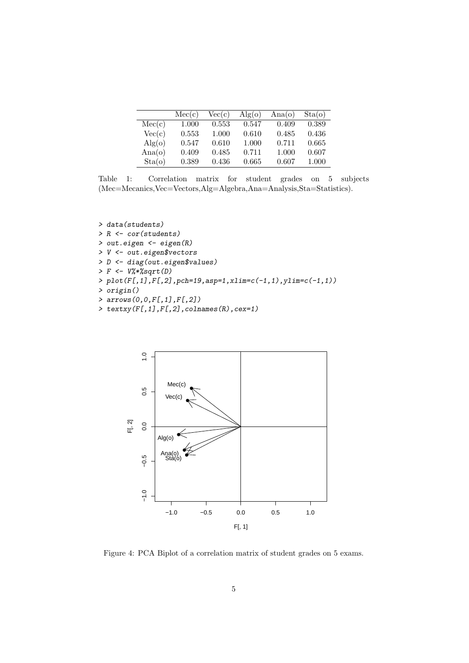|                        | Mec(c) | Vec(c) | $\rm{Alg}(\rm{o})$ | Ana(o) | Sta(o) |
|------------------------|--------|--------|--------------------|--------|--------|
| Mec(c)                 | 1.000  | 0.553  | 0.547              | 0.409  | 0.389  |
| Vec(c)                 | 0.553  | 1.000  | 0.610              | 0.485  | 0.436  |
| $\text{Alg}(\text{o})$ | 0.547  | 0.610  | 1.000              | 0.711  | 0.665  |
| Ana(o)                 | 0.409  | 0.485  | 0.711              | 1.000  | 0.607  |
| Sta(o)                 | 0.389  | 0.436  | 0.665              | 0.607  | 1.000  |

<span id="page-4-0"></span>Table 1: Correlation matrix for student grades on 5 subjects (Mec=Mecanics,Vec=Vectors,Alg=Algebra,Ana=Analysis,Sta=Statistics).

> data(students) > R <- cor(students) > out.eigen <- eigen(R) > V <- out.eigen\$vectors > D <- diag(out.eigen\$values)  $> F \leftarrow V$ %\*%sqrt(D) > plot(F[,1],F[,2],pch=19,asp=1,xlim=c(-1,1),ylim=c(-1,1)) > origin() > arrows(0,0,F[,1],F[,2])

> textxy(F[,1],F[,2],colnames(R),cex=1)



Figure 4: PCA Biplot of a correlation matrix of student grades on 5 exams.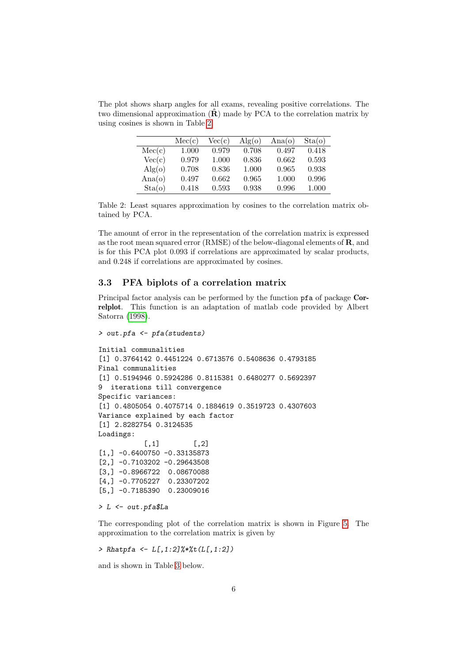The plot shows sharp angles for all exams, revealing positive correlations. The two dimensional approximation  $(\hat{\mathbf{R}})$  made by PCA to the correlation matrix by using cosines is shown in Table [2.](#page-5-1)

|                        | Mec(c) | Vec(c) | $\rm{Alg}(\rm{o})$ | Ana(o) | Sta(o) |
|------------------------|--------|--------|--------------------|--------|--------|
| Mec(c)                 | 1.000  | 0.979  | 0.708              | 0.497  | 0.418  |
| Vec(c)                 | 0.979  | 1.000  | 0.836              | 0.662  | 0.593  |
| $\text{Alg}(\text{o})$ | 0.708  | 0.836  | 1.000              | 0.965  | 0.938  |
| Ana(o)                 | 0.497  | 0.662  | 0.965              | 1.000  | 0.996  |
| Sta(o)                 | 0.418  | 0.593  | 0.938              | 0.996  | 1.000  |

<span id="page-5-1"></span>Table 2: Least squares approximation by cosines to the correlation matrix obtained by PCA.

The amount of error in the representation of the correlation matrix is expressed as the root mean squared error (RMSE) of the below-diagonal elements of R, and is for this PCA plot 0.093 if correlations are approximated by scalar products, and 0.248 if correlations are approximated by cosines.

#### <span id="page-5-0"></span>3.3 PFA biplots of a correlation matrix

Principal factor analysis can be performed by the function pfa of package Correlplot. This function is an adaptation of matlab code provided by Albert Satorra [\(1998\)](#page-9-3).

```
> out.pfa <- pfa(students)
```

```
Initial communalities
[1] 0.3764142 0.4451224 0.6713576 0.5408636 0.4793185
Final communalities
[1] 0.5194946 0.5924286 0.8115381 0.6480277 0.5692397
9 iterations till convergence
Specific variances:
[1] 0.4805054 0.4075714 0.1884619 0.3519723 0.4307603
Variance explained by each factor
[1] 2.8282754 0.3124535
Loadings:
           [ , 1] [ , 2][1,] -0.6400750 -0.33135873[2,] -0.7103202 -0.29643508
[3,] -0.8966722 0.08670088
[4,] -0.7705227 0.23307202
[5,] -0.7185390 0.23009016
```
#### > L <- out.pfa\$La

The corresponding plot of the correlation matrix is shown in Figure [5.](#page-6-0) The approximation to the correlation matrix is given by

> Rhatpfa <- L[,1:2]%\*%t(L[,1:2])

and is shown in Table [3](#page-7-1) below.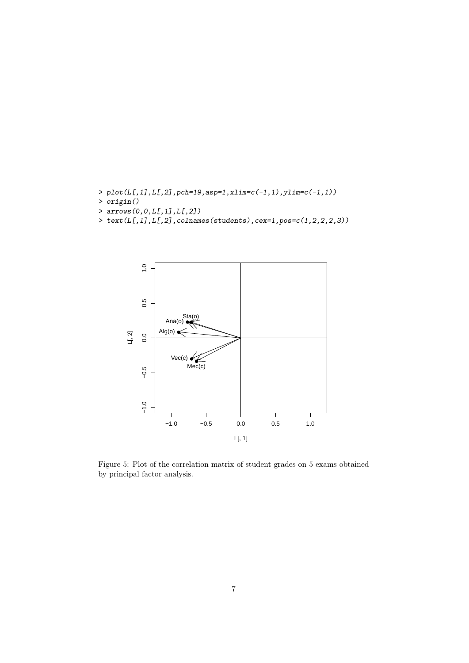- $> \mathop{\text{plot}}(L[,1],L[,2]$  ,<br>pch=19,asp=1,xlim=c(-1,1),ylim=c(-1,1))
- > origin()
- > arrows(0,0,L[,1],L[,2])
- > text(L[,1],L[,2],colnames(students),cex=1,pos=c(1,2,2,2,3))



<span id="page-6-0"></span>Figure 5: Plot of the correlation matrix of student grades on 5 exams obtained by principal factor analysis.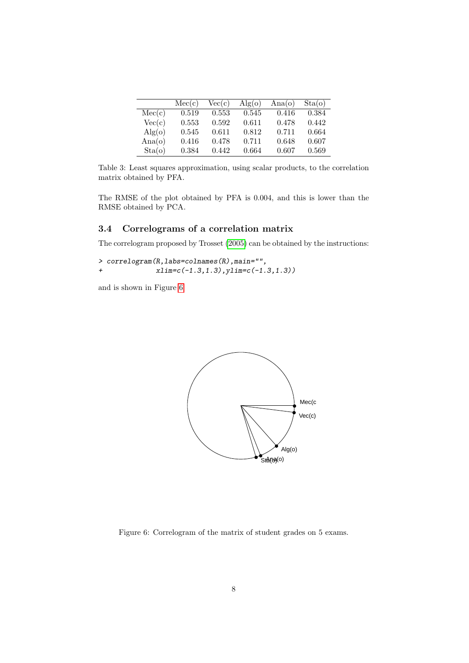|                        | Mec(c) | Vec(c) | $\rm{Alg}(\rm{o})$ | Ana(o) | Sta(o) |
|------------------------|--------|--------|--------------------|--------|--------|
| Mec(c)                 | 0.519  | 0.553  | 0.545              | 0.416  | 0.384  |
| Vec(c)                 | 0.553  | 0.592  | 0.611              | 0.478  | 0.442  |
| $\text{Alg}(\text{o})$ | 0.545  | 0.611  | 0.812              | 0.711  | 0.664  |
| Ana(o)                 | 0.416  | 0.478  | 0.711              | 0.648  | 0.607  |
| Sta(o)                 | 0.384  | 0.442  | 0.664              | 0.607  | 0.569  |

<span id="page-7-1"></span>Table 3: Least squares approximation, using scalar products, to the correlation matrix obtained by PFA.

The RMSE of the plot obtained by PFA is 0.004, and this is lower than the RMSE obtained by PCA.

### <span id="page-7-0"></span>3.4 Correlograms of a correlation matrix

The correlogram proposed by Trosset [\(2005\)](#page-9-4) can be obtained by the instructions:

```
> correlogram(R,labs=colnames(R),main="",
+ xlim=c(-1.3,1.3),ylim=c(-1.3,1.3))
```
and is shown in Figure [6](#page-7-2)



<span id="page-7-2"></span>Figure 6: Correlogram of the matrix of student grades on 5 exams.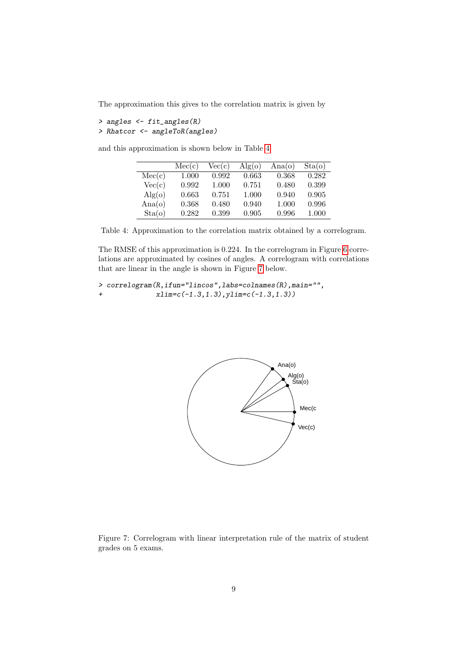The approximation this gives to the correlation matrix is given by

```
> angles <- fit_angles(R)
> Rhatcor <- angleToR(angles)
```
and this approximation is shown below in Table [4.](#page-8-0)

|                        | Mec(c) | Vec(c) | $\rm{Alg}(\rm{o})$ | Ana(o) | Sta(o) |
|------------------------|--------|--------|--------------------|--------|--------|
| Mec(c)                 | 1.000  | 0.992  | 0.663              | 0.368  | 0.282  |
| Vec(c)                 | 0.992  | 1.000  | 0.751              | 0.480  | 0.399  |
| $\text{Alg}(\text{o})$ | 0.663  | 0.751  | 1.000              | 0.940  | 0.905  |
| Ana(o)                 | 0.368  | 0.480  | 0.940              | 1.000  | 0.996  |
| Sta(o)                 | 0.282  | 0.399  | 0.905              | 0.996  | 1.000  |

<span id="page-8-0"></span>Table 4: Approximation to the correlation matrix obtained by a correlogram.

The RMSE of this approximation is 0.224. In the correlogram in Figure [6](#page-7-2) correlations are approximated by cosines of angles. A correlogram with correlations that are linear in the angle is shown in Figure [7](#page-8-1) below.

```
> correlogram(R,ifun="lincos",labs=colnames(R),main="",
+ xlim=c(-1.3,1.3),ylim=c(-1.3,1.3))
```


<span id="page-8-1"></span>Figure 7: Correlogram with linear interpretation rule of the matrix of student grades on 5 exams.